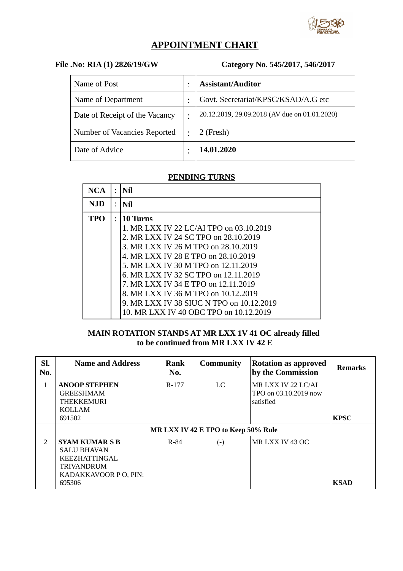

# **APPOINTMENT CHART**

## **File .No: RIA (1) 2826/19/GW Category No. 545/2017, 546/2017**

| Name of Post                   | ٠         | <b>Assistant/Auditor</b>                      |
|--------------------------------|-----------|-----------------------------------------------|
| Name of Department             |           | Govt. Secretariat/KPSC/KSAD/A.G etc           |
| Date of Receipt of the Vacancy | $\bullet$ | 20.12.2019, 29.09.2018 (AV due on 01.01.2020) |
| Number of Vacancies Reported   |           | 2 (Fresh)                                     |
| Date of Advice                 |           | 14.01.2020                                    |

## **PENDING TURNS**

| <b>NCA</b> | $\bullet$ | Nil                                                                                                                                                                                                                                                                                                                                                                                                                          |
|------------|-----------|------------------------------------------------------------------------------------------------------------------------------------------------------------------------------------------------------------------------------------------------------------------------------------------------------------------------------------------------------------------------------------------------------------------------------|
| <b>NJD</b> |           | Nil                                                                                                                                                                                                                                                                                                                                                                                                                          |
| <b>TPO</b> |           | 10 Turns<br>1. MR LXX IV 22 LC/AI TPO on 03.10.2019<br>2. MR LXX IV 24 SC TPO on 28.10.2019<br>3. MR LXX IV 26 M TPO on 28.10.2019<br>4. MR LXX IV 28 E TPO on 28.10.2019<br>5. MR LXX IV 30 M TPO on 12.11.2019<br>6. MR LXX IV 32 SC TPO on 12.11.2019<br>7. MR LXX IV 34 E TPO on 12.11.2019<br>8. MR LXX IV 36 M TPO on 10.12.2019<br>9. MR LXX IV 38 SIUC N TPO on 10.12.2019<br>10. MR LXX IV 40 OBC TPO on 10.12.2019 |

### **MAIN ROTATION STANDS AT MR LXX 1V 41 OC already filled to be continued from MR LXX IV 42 E**

| SI.<br>No.    | <b>Name and Address</b>                                                                                                     | Rank<br>No. | <b>Community</b> | <b>Rotation as approved</b><br>by the Commission         | <b>Remarks</b> |  |  |  |
|---------------|-----------------------------------------------------------------------------------------------------------------------------|-------------|------------------|----------------------------------------------------------|----------------|--|--|--|
| $\mathbf{1}$  | <b>ANOOP STEPHEN</b><br><b>GREESHMAM</b><br><b>THEKKEMURI</b><br><b>KOLLAM</b><br>691502                                    | R-177       | LC.              | MR LXX IV 22 LC/AI<br>TPO on 03.10.2019 now<br>satisfied | <b>KPSC</b>    |  |  |  |
|               | MR LXX IV 42 E TPO to Keep 50% Rule                                                                                         |             |                  |                                                          |                |  |  |  |
| $\mathcal{P}$ | <b>SYAM KUMAR S B</b><br><b>SALU BHAVAN</b><br><b>KEEZHATTINGAL</b><br><b>TRIVANDRUM</b><br>KADAKKAVOOR P O, PIN:<br>695306 | R-84        | $(\text{-})$     | MR LXX IV 43 OC                                          | <b>KSAD</b>    |  |  |  |